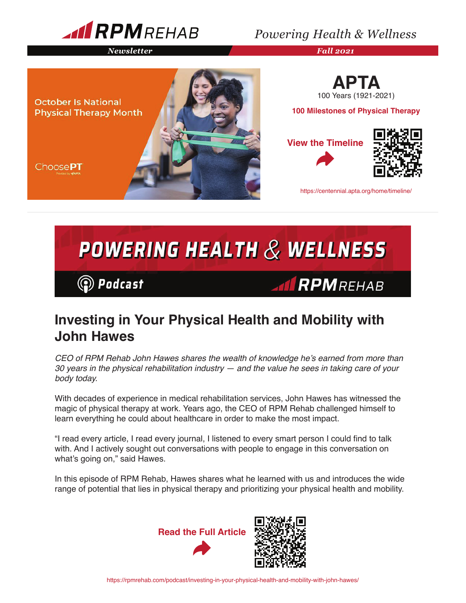

### *Powering Health & Wellness*

*Newsletter Fall 2021*





**100 Milestones of Physical Therapy**

**View the Timeline**





https://centennial.apta.org/home/timeline/

# POWERING HEALTH  $\&$  WELLNESS **◎** Podcast **AIRPMREHAB**

## **Investing in Your Physical Health and Mobility with John Hawes**

CEO of RPM Rehab John Hawes shares the wealth of knowledge he's earned from more than *30 years in the physical rehabilitation industry — and the value he sees in taking care of your body today.*

With decades of experience in medical rehabilitation services, John Hawes has witnessed the magic of physical therapy at work. Years ago, the CEO of RPM Rehab challenged himself to learn everything he could about healthcare in order to make the most impact.

"I read every article, I read every journal, I listened to every smart person I could find to talk with. And I actively sought out conversations with people to engage in this conversation on what's going on," said Hawes.

In this episode of RPM Rehab, Hawes shares what he learned with us and introduces the wide range of potential that lies in physical therapy and prioritizing your physical health and mobility.

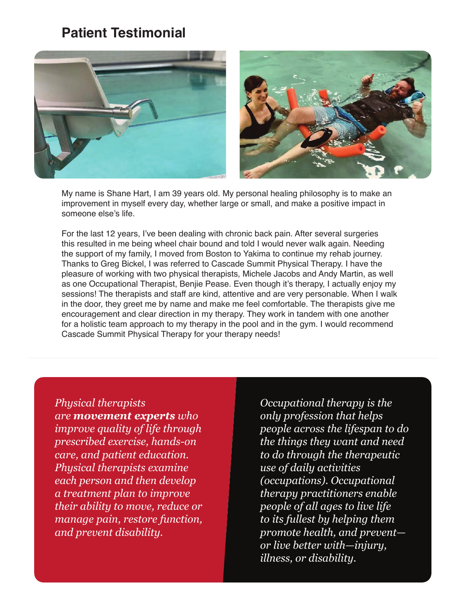### **Patient Testimonial**





My name is Shane Hart, I am 39 years old. My personal healing philosophy is to make an improvement in myself every day, whether large or small, and make a positive impact in someone else's life.

For the last 12 years, I've been dealing with chronic back pain. After several surgeries this resulted in me being wheel chair bound and told I would never walk again. Needing the support of my family, I moved from Boston to Yakima to continue my rehab journey. Thanks to Greg Bickel, I was referred to Cascade Summit Physical Therapy. I have the pleasure of working with two physical therapists, Michele Jacobs and Andy Martin, as well as one Occupational Therapist, Benjie Pease. Even though it's therapy, I actually enjoy my sessions! The therapists and staff are kind, attentive and are very personable. When I walk in the door, they greet me by name and make me feel comfortable. The therapists give me encouragement and clear direction in my therapy. They work in tandem with one another for a holistic team approach to my therapy in the pool and in the gym. I would recommend Cascade Summit Physical Therapy for your therapy needs!

*Physical therapists are movement experts who improve quality of life through prescribed exercise, hands-on care, and patient education. Physical therapists examine each person and then develop a treatment plan to improve their ability to move, reduce or manage pain, restore function, and prevent disability.*

*Occupational therapy is the only profession that helps people across the lifespan to do the things they want and need to do through the therapeutic use of daily activities (occupations). Occupational therapy practitioners enable people of all ages to live life to its fullest by helping them promote health, and prevent or live better with—injury, illness, or disability.*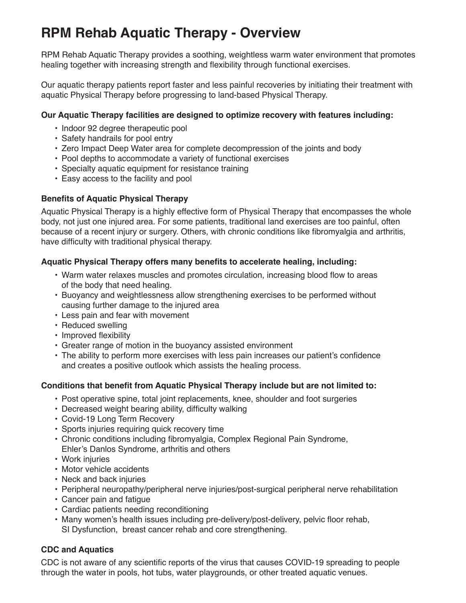## **RPM Rehab Aquatic Therapy - Overview**

RPM Rehab Aquatic Therapy provides a soothing, weightless warm water environment that promotes healing together with increasing strength and flexibility through functional exercises.

Our aquatic therapy patients report faster and less painful recoveries by initiating their treatment with aquatic Physical Therapy before progressing to land-based Physical Therapy.

#### **Our Aquatic Therapy facilities are designed to optimize recovery with features including:**

- Indoor 92 degree therapeutic pool
- Safety handrails for pool entry
- Zero Impact Deep Water area for complete decompression of the joints and body
- Pool depths to accommodate a variety of functional exercises
- Specialty aquatic equipment for resistance training
- Easy access to the facility and pool

#### **Benefits of Aquatic Physical Therapy**

Aquatic Physical Therapy is a highly effective form of Physical Therapy that encompasses the whole body, not just one injured area. For some patients, traditional land exercises are too painful, often because of a recent injury or surgery. Others, with chronic conditions like fibromyalgia and arthritis, have difficulty with traditional physical therapy.

#### **Aquatic Physical Therapy offers many benefits to accelerate healing, including:**

- Warm water relaxes muscles and promotes circulation, increasing blood flow to areas of the body that need healing.
- Buoyancy and weightlessness allow strengthening exercises to be performed without causing further damage to the injured area
- Less pain and fear with movement
- Reduced swelling
- Improved flexibility
- Greater range of motion in the buoyancy assisted environment
- The ability to perform more exercises with less pain increases our patient's confidence and creates a positive outlook which assists the healing process.

#### **Conditions that benefit from Aquatic Physical Therapy include but are not limited to:**

- Post operative spine, total joint replacements, knee, shoulder and foot surgeries
- Decreased weight bearing ability, difficulty walking
- Covid-19 Long Term Recovery
- Sports injuries requiring quick recovery time
- Chronic conditions including fibromyalgia, Complex Regional Pain Syndrome, Ehler's Danlos Syndrome, arthritis and others
- Work injuries
- Motor vehicle accidents
- Neck and back injuries
- Peripheral neuropathy/peripheral nerve injuries/post-surgical peripheral nerve rehabilitation
- Cancer pain and fatigue
- Cardiac patients needing reconditioning
- Many women's health issues including pre-delivery/post-delivery, pelvic floor rehab, SI Dysfunction, breast cancer rehab and core strengthening.

#### **CDC and Aquatics**

CDC is not aware of any scientific reports of the virus that causes COVID-19 spreading to people through the water in pools, hot tubs, water playgrounds, or other treated aquatic venues.